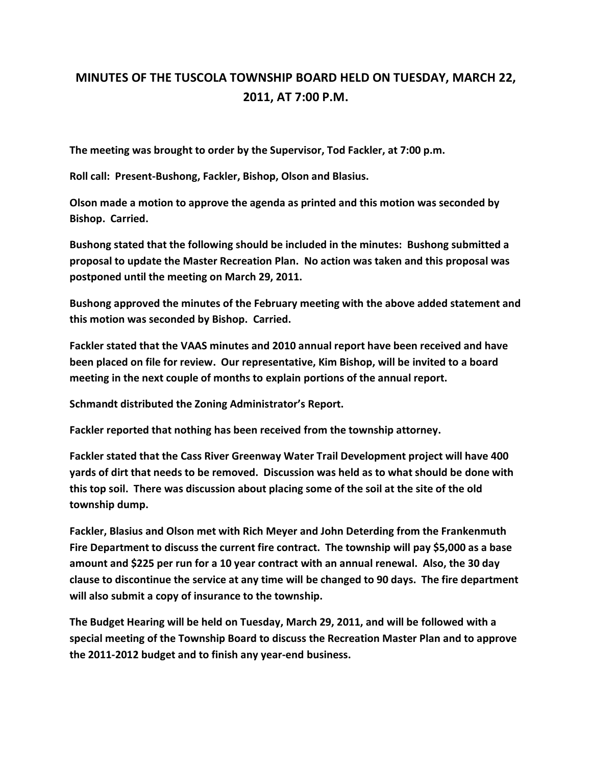## **MINUTES OF THE TUSCOLA TOWNSHIP BOARD HELD ON TUESDAY, MARCH 22, 2011, AT 7:00 P.M.**

**The meeting was brought to order by the Supervisor, Tod Fackler, at 7:00 p.m.** 

**Roll call: Present-Bushong, Fackler, Bishop, Olson and Blasius.** 

**Olson made a motion to approve the agenda as printed and this motion was seconded by Bishop. Carried.** 

**Bushong stated that the following should be included in the minutes: Bushong submitted a proposal to update the Master Recreation Plan. No action was taken and this proposal was postponed until the meeting on March 29, 2011.** 

**Bushong approved the minutes of the February meeting with the above added statement and this motion was seconded by Bishop. Carried.** 

**Fackler stated that the VAAS minutes and 2010 annual report have been received and have been placed on file for review. Our representative, Kim Bishop, will be invited to a board meeting in the next couple of months to explain portions of the annual report.** 

**Schmandt distributed the Zoning Administrator's Report.** 

**Fackler reported that nothing has been received from the township attorney.** 

**Fackler stated that the Cass River Greenway Water Trail Development project will have 400 yards of dirt that needs to be removed. Discussion was held as to what should be done with this top soil. There was discussion about placing some of the soil at the site of the old township dump.** 

**Fackler, Blasius and Olson met with Rich Meyer and John Deterding from the Frankenmuth Fire Department to discuss the current fire contract. The township will pay \$5,000 as a base amount and \$225 per run for a 10 year contract with an annual renewal. Also, the 30 day clause to discontinue the service at any time will be changed to 90 days. The fire department will also submit a copy of insurance to the township.** 

**The Budget Hearing will be held on Tuesday, March 29, 2011, and will be followed with a special meeting of the Township Board to discuss the Recreation Master Plan and to approve the 2011-2012 budget and to finish any year-end business.**